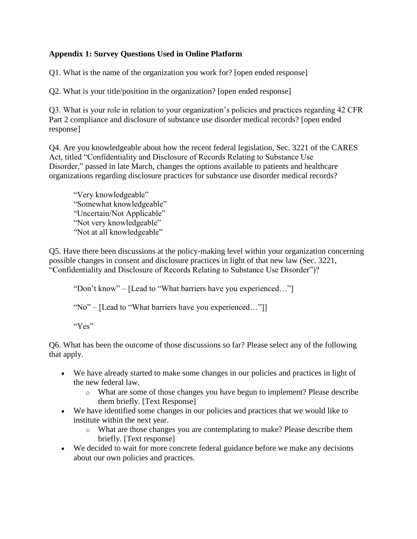## **Appendix 1: Survey Questions Used in Online Platform**

Q1. What is the name of the organization you work for? [open ended response]

Q2. What is your title/position in the organization? [open ended response]

Q3. What is your role in relation to your organization's policies and practices regarding 42 CFR Part 2 compliance and disclosure of substance use disorder medical records? [open ended response]

Q4. Are you knowledgeable about how the recent federal legislation, Sec. 3221 of the CARES Act, titled "Confidentiality and Disclosure of Records Relating to Substance Use Disorder," passed in late March, changes the options available to patients and healthcare organizations regarding disclosure practices for substance use disorder medical records?

"Very knowledgeable" "Somewhat knowledgeable" "Uncertain/Not Applicable" "Not very knowledgeable" "Not at all knowledgeable"

Q5. Have there been discussions at the policy-making level within your organization concerning possible changes in consent and disclosure practices in light of that new law (Sec. 3221, "Confidentiality and Disclosure of Records Relating to Substance Use Disorder")?

"Don't know" – [Lead to "What barriers have you experienced…"]

"No" – [Lead to "What barriers have you experienced…"]]

"Yes"

Q6. What has been the outcome of those discussions so far? Please select any of the following that apply.

- We have already started to make some changes in our policies and practices in light of the new federal law.
	- o What are some of those changes you have begun to implement? Please describe them briefly. [Text Response]
- We have identified some changes in our policies and practices that we would like to institute within the next year.
	- o What are those changes you are contemplating to make? Please describe them briefly. [Text response]
- We decided to wait for more concrete federal guidance before we make any decisions about our own policies and practices.